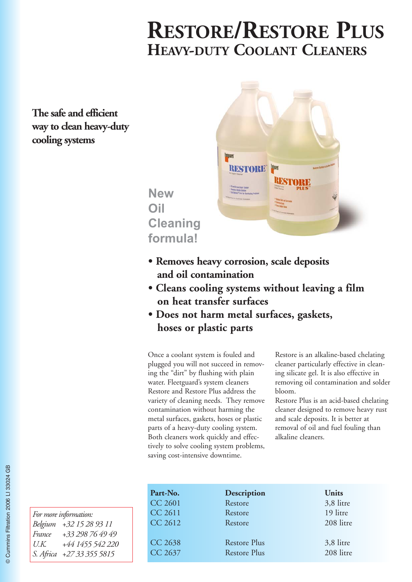# **RESTORE/RESTORE PLUS HEAVY-DUTY COOLANT CLEANERS**

**The safe and efficient way to clean heavy-duty cooling systems**



**Cleaning formula!**

**New** 

**Oil**

- **Removes heavy corrosion, scale deposits and oil contamination**
- **Cleans cooling systems without leaving a film on heat transfer surfaces**
- **Does not harm metal surfaces, gaskets, hoses or plastic parts**

Once a coolant system is fouled and plugged you will not succeed in removing the "dirt" by flushing with plain water. Fleetguard's system cleaners Restore and Restore Plus address the variety of cleaning needs. They remove contamination without harming the metal surfaces, gaskets, hoses or plastic parts of a heavy-duty cooling system. Both cleaners work quickly and effectively to solve cooling system problems, saving cost-intensive downtime.

Restore is an alkaline-based chelating cleaner particularly effective in cleaning silicate gel. It is also effective in removing oil contamination and solder bloom.

Restore Plus is an acid-based chelating cleaner designed to remove heavy rust and scale deposits. It is better at removal of oil and fuel fouling than alkaline cleaners.

| Part-No.       | Description         | Units     |
|----------------|---------------------|-----------|
| <b>CC 2601</b> | Restore             | 3,8 litre |
| CC 2611        | Restore             | 19 litre  |
| CC 2612        | Restore             | 208 litre |
|                |                     |           |
| CC 2638        | <b>Restore Plus</b> | 3,8 litre |
| CC 2637        | <b>Restore Plus</b> | 208 litre |
|                |                     |           |

| For more information: |                           |  |  |  |  |  |
|-----------------------|---------------------------|--|--|--|--|--|
|                       | Belgium +32 15 28 93 11   |  |  |  |  |  |
| France                | +33 298 76 49 49          |  |  |  |  |  |
| U.K.                  | +44 1455 542 220          |  |  |  |  |  |
|                       | S. Africa +27 33 355 5815 |  |  |  |  |  |